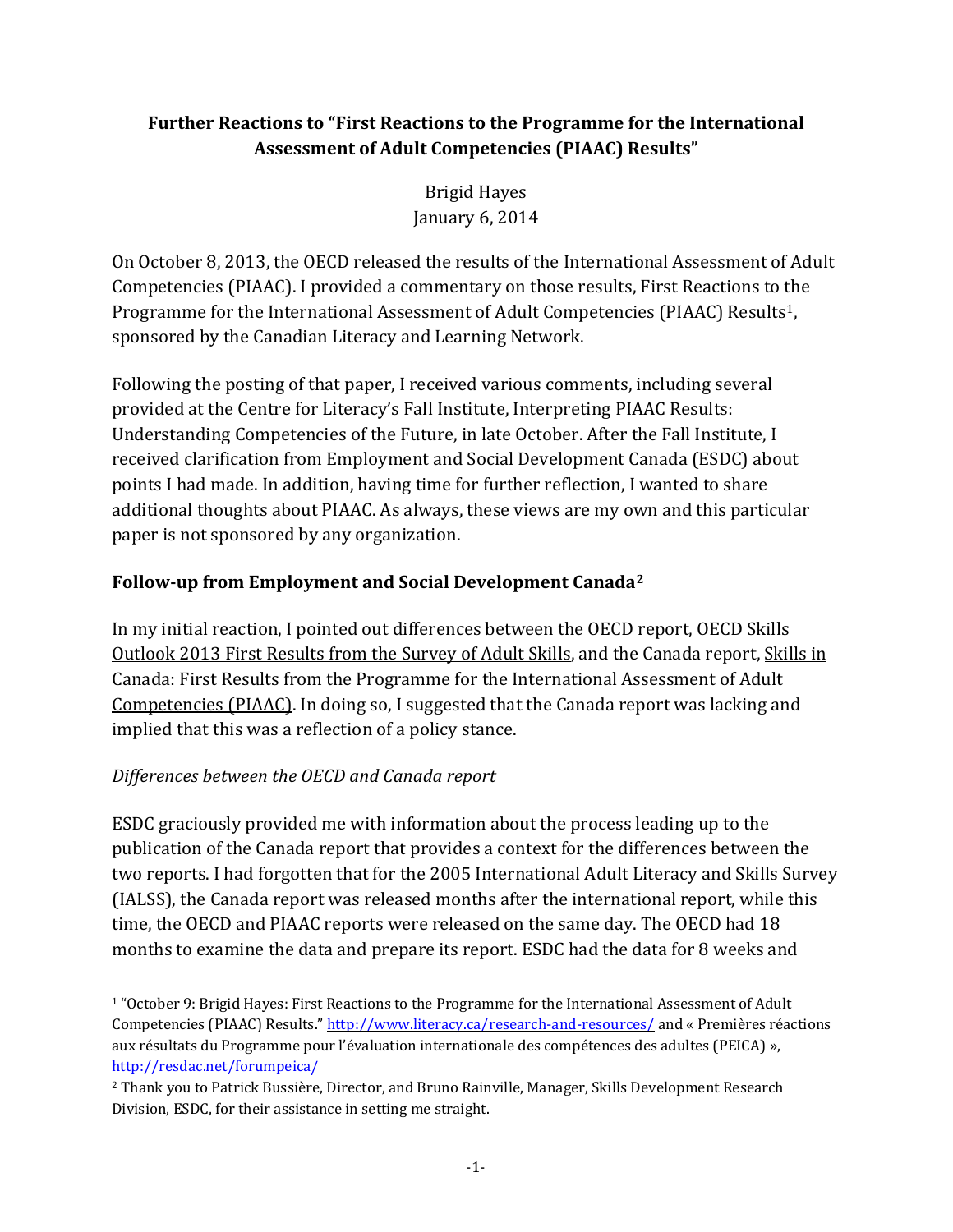# **Further Reactions to "First Reactions to the Programme for the International Assessment of Adult Competencies (PIAAC) Results"**

Brigid Hayes January 6, 2014

On October 8, 2013, the OECD released the results of the International Assessment of Adult Competencies (PIAAC). I provided a commentary on those results, First Reactions to the Programme for the International Assessment of Adult Competencies (PIAAC) Results<sup>[1](#page-0-0)</sup>, sponsored by the Canadian Literacy and Learning Network.

Following the posting of that paper, I received various comments, including several provided at the Centre for Literacy's Fall Institute, Interpreting PIAAC Results: Understanding Competencies of the Future, in late October. After the Fall Institute, I received clarification from Employment and Social Development Canada (ESDC) about points I had made. In addition, having time for further reflection, I wanted to share additional thoughts about PIAAC. As always, these views are my own and this particular paper is not sponsored by any organization.

# **Follow-up from Employment and Social Development Canada[2](#page-0-1)**

In my initial reaction, I pointed out differences between the OECD report, OECD Skills Outlook 2013 First Results from the Survey of Adult Skills, and the Canada report, Skills in Canada: First Results from the Programme for the International Assessment of Adult Competencies (PIAAC). In doing so, I suggested that the Canada report was lacking and implied that this was a reflection of a policy stance.

# *Differences between the OECD and Canada report*

ESDC graciously provided me with information about the process leading up to the publication of the Canada report that provides a context for the differences between the two reports. I had forgotten that for the 2005 International Adult Literacy and Skills Survey (IALSS), the Canada report was released months after the international report, while this time, the OECD and PIAAC reports were released on the same day. The OECD had 18 months to examine the data and prepare its report. ESDC had the data for 8 weeks and

<span id="page-0-0"></span>i<br>I 1 "October 9[: Brigid Hayes:](http://www.literacy.ca/content/uploads/2013/10/First-Reactions-to-PIAAC-Brigid-Hayes-October-8-2013.pdf) [First Reactions to the Programme for the International Assessment of Adult](http://www.literacy.ca/content/uploads/2013/10/First-Reactions-to-PIAAC-Brigid-Hayes-October-8-2013.pdf)  Competencies (PIAAC) Results.[" http://www.literacy.ca/research-and-resources/](http://www.literacy.ca/research-and-resources/) and « Premières réactions aux résultats du Programme pour l'évaluation internationale des compétences des adultes (PEICA) », <http://resdac.net/forumpeica/>

<span id="page-0-1"></span><sup>2</sup> Thank you to Patrick Bussière, Director, and Bruno Rainville, Manager, Skills Development Research Division, ESDC, for their assistance in setting me straight.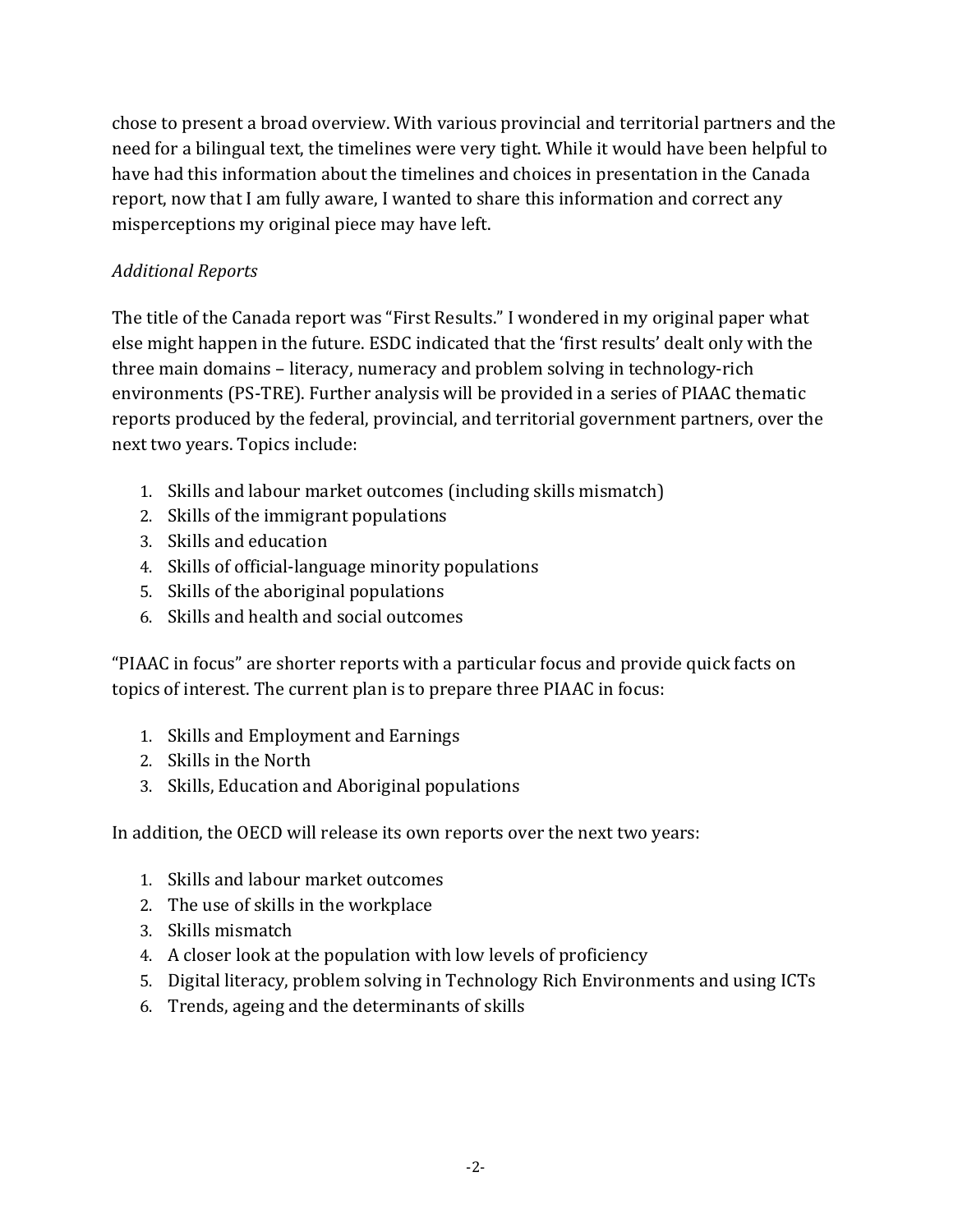chose to present a broad overview. With various provincial and territorial partners and the need for a bilingual text, the timelines were very tight. While it would have been helpful to have had this information about the timelines and choices in presentation in the Canada report, now that I am fully aware, I wanted to share this information and correct any misperceptions my original piece may have left.

# *Additional Reports*

The title of the Canada report was "First Results." I wondered in my original paper what else might happen in the future. ESDC indicated that the 'first results' dealt only with the three main domains – literacy, numeracy and problem solving in technology-rich environments (PS-TRE). Further analysis will be provided in a series of PIAAC thematic reports produced by the federal, provincial, and territorial government partners, over the next two years. Topics include:

- 1. Skills and labour market outcomes (including skills mismatch)
- 2. Skills of the immigrant populations
- 3. Skills and education
- 4. Skills of official-language minority populations
- 5. Skills of the aboriginal populations
- 6. Skills and health and social outcomes

"PIAAC in focus" are shorter reports with a particular focus and provide quick facts on topics of interest. The current plan is to prepare three PIAAC in focus:

- 1. Skills and Employment and Earnings
- 2. Skills in the North
- 3. Skills, Education and Aboriginal populations

In addition, the OECD will release its own reports over the next two years:

- 1. Skills and labour market outcomes
- 2. The use of skills in the workplace
- 3. Skills mismatch
- 4. A closer look at the population with low levels of proficiency
- 5. Digital literacy, problem solving in Technology Rich Environments and using ICTs
- 6. Trends, ageing and the determinants of skills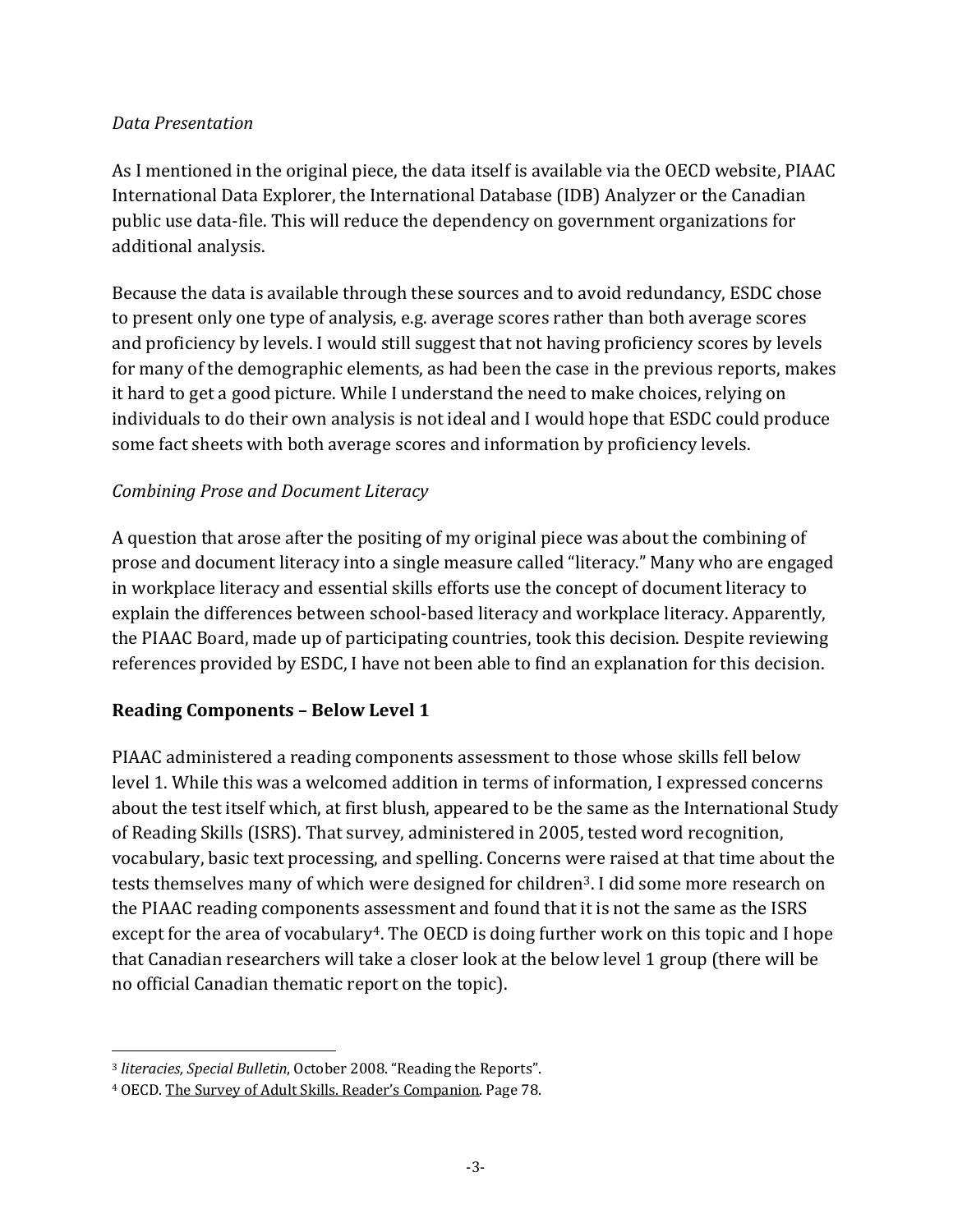#### *Data Presentation*

As I mentioned in the original piece, the data itself is available via the OECD website, PIAAC International Data Explorer, the International Database (IDB) Analyzer or the Canadian public use data-file. This will reduce the dependency on government organizations for additional analysis.

Because the data is available through these sources and to avoid redundancy, ESDC chose to present only one type of analysis, e.g. average scores rather than both average scores and proficiency by levels. I would still suggest that not having proficiency scores by levels for many of the demographic elements, as had been the case in the previous reports, makes it hard to get a good picture. While I understand the need to make choices, relying on individuals to do their own analysis is not ideal and I would hope that ESDC could produce some fact sheets with both average scores and information by proficiency levels.

### *Combining Prose and Document Literacy*

A question that arose after the positing of my original piece was about the combining of prose and document literacy into a single measure called "literacy." Many who are engaged in workplace literacy and essential skills efforts use the concept of document literacy to explain the differences between school-based literacy and workplace literacy. Apparently, the PIAAC Board, made up of participating countries, took this decision. Despite reviewing references provided by ESDC, I have not been able to find an explanation for this decision.

### **Reading Components – Below Level 1**

PIAAC administered a reading components assessment to those whose skills fell below level 1. While this was a welcomed addition in terms of information, I expressed concerns about the test itself which, at first blush, appeared to be the same as the International Study of Reading Skills (ISRS). That survey, administered in 2005, tested word recognition, vocabulary, basic text processing, and spelling. Concerns were raised at that time about the tests themselves many of which were designed for children<sup>3</sup>. I did some more research on the PIAAC reading components assessment and found that it is not the same as the ISRS except for the area of vocabulary<sup>4</sup>. The OECD is doing further work on this topic and I hope that Canadian researchers will take a closer look at the below level 1 group (there will be no official Canadian thematic report on the topic).

<span id="page-2-0"></span>i<br>I <sup>3</sup> *literacies, Special Bulletin*, October 2008. "Reading the Reports".

<span id="page-2-1"></span><sup>4</sup> OECD. The Survey of Adult Skills. Reader's Companion. Page 78.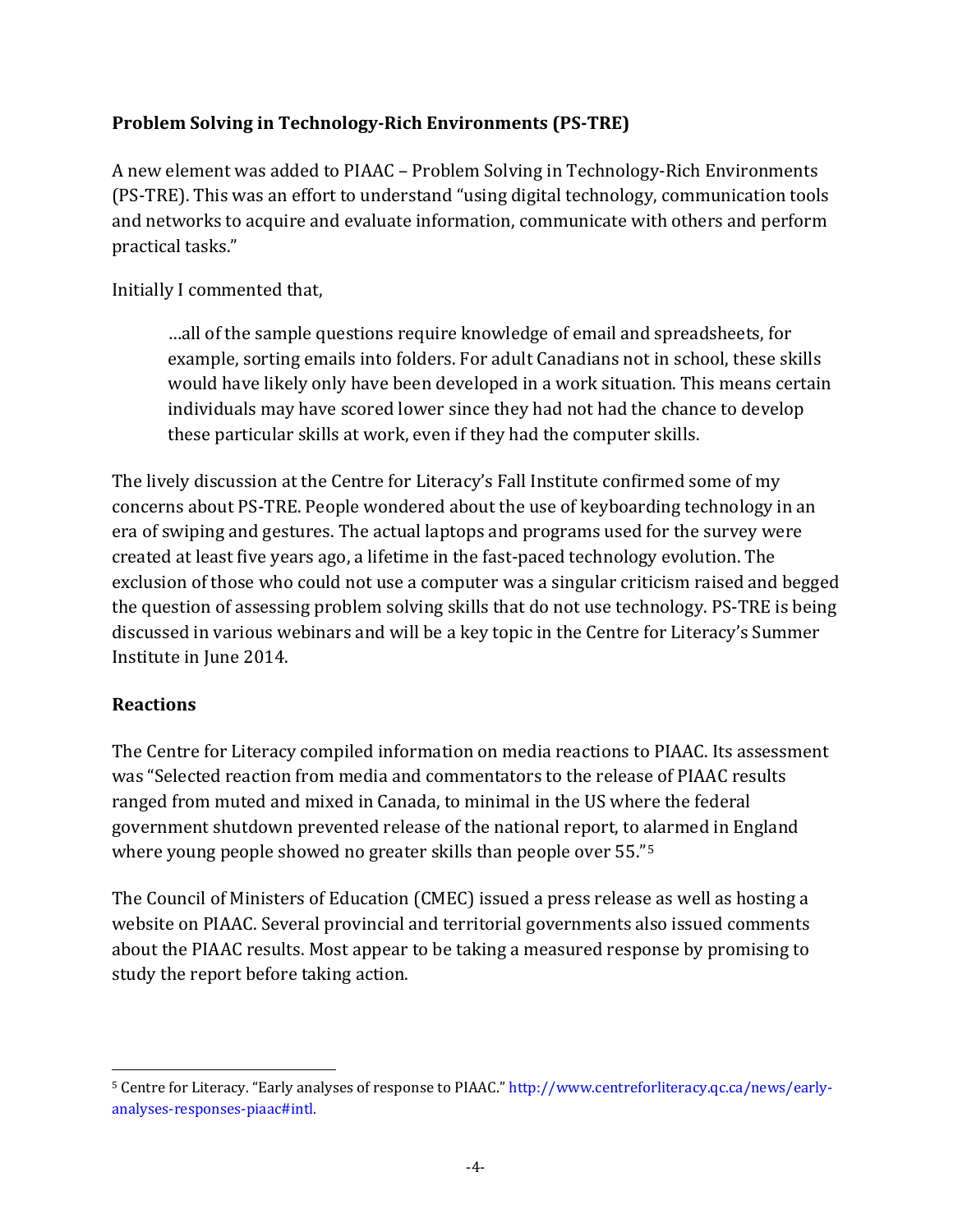### **Problem Solving in Technology-Rich Environments (PS-TRE)**

A new element was added to PIAAC – Problem Solving in Technology-Rich Environments (PS-TRE). This was an effort to understand "using digital technology, communication tools and networks to acquire and evaluate information, communicate with others and perform practical tasks."

Initially I commented that,

…all of the sample questions require knowledge of email and spreadsheets, for example, sorting emails into folders. For adult Canadians not in school, these skills would have likely only have been developed in a work situation. This means certain individuals may have scored lower since they had not had the chance to develop these particular skills at work, even if they had the computer skills.

The lively discussion at the Centre for Literacy's Fall Institute confirmed some of my concerns about PS-TRE. People wondered about the use of keyboarding technology in an era of swiping and gestures. The actual laptops and programs used for the survey were created at least five years ago, a lifetime in the fast-paced technology evolution. The exclusion of those who could not use a computer was a singular criticism raised and begged the question of assessing problem solving skills that do not use technology. PS-TRE is being discussed in various webinars and will be a key topic in the Centre for Literacy's Summer Institute in June 2014.

### **Reactions**

The Centre for Literacy compiled information on media reactions to PIAAC. Its assessment was "Selected reaction from media and commentators to the release of PIAAC results ranged from muted and mixed in Canada, to minimal in the US where the federal government shutdown prevented release of the national report, to [al](#page-3-0)armed in England where young people showed no greater skills than people over 55."5

The Council of Ministers of Education (CMEC) issued a press release as well as hosting a website on PIAAC. Several provincial and territorial governments also issued comments about the PIAAC results. Most appear to be taking a measured response by promising to study the report before taking action.

<span id="page-3-0"></span>I <sup>5</sup> Centre for Literacy. "Early analyses of response to PIAAC." http://www.centreforliteracy.qc.ca/news/earlyanalyses-responses-piaac#intl.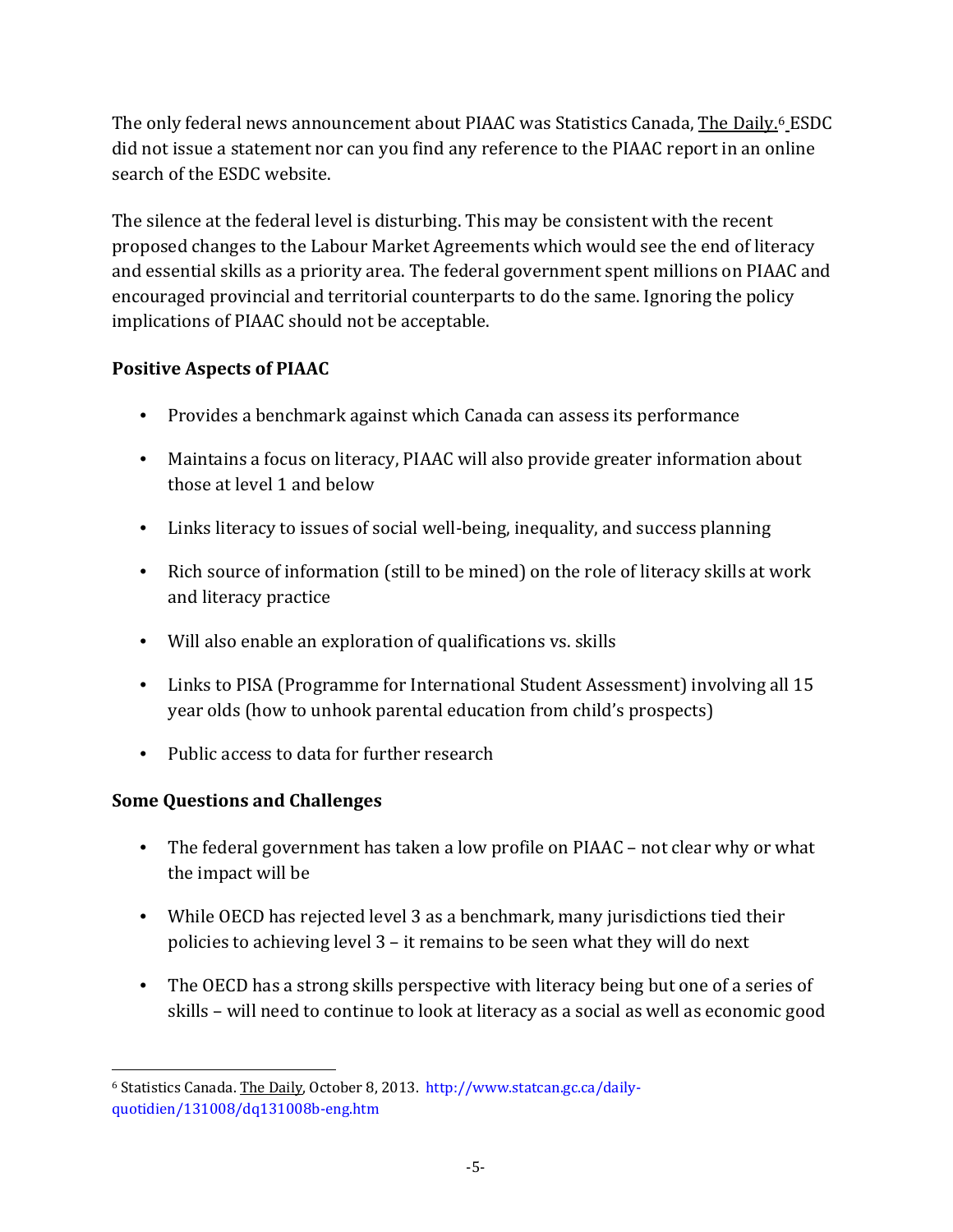The only federal news announcement about PIAAC was Statistics Canada, <u>The Daily.</u>6 ESDC did not issue a statement nor can you find any reference to the PIAAC report in an o[n](#page-4-0)line search of the ESDC website.

The silence at the federal level is disturbing. This may be consistent with the recent proposed changes to the Labour Market Agreements which would see the end of literacy and essential skills as a priority area. The federal government spent millions on PIAAC and encouraged provincial and territorial counterparts to do the same. Ignoring the policy implications of PIAAC should not be acceptable.

# **Positive Aspects of PIAAC**

- Provides a benchmark against which Canada can assess its performance
- Maintains a focus on literacy, PIAAC will also provide greater information about those at level 1 and below
- Links literacy to issues of social well-being, inequality, and success planning
- Rich source of information (still to be mined) on the role of literacy skills at work and literacy practice
- Will also enable an exploration of qualifications vs. skills
- Links to PISA (Programme for International Student Assessment) involving all 15 year olds (how to unhook parental education from child's prospects)
- Public access to data for further research

### **Some Questions and Challenges**

- The federal government has taken a low profile on PIAAC not clear why or what the impact will be
- While OECD has rejected level 3 as a benchmark, many jurisdictions tied their policies to achieving level 3 – it remains to be seen what they will do next
- The OECD has a strong skills perspective with literacy being but one of a series of skills – will need to continue to look at literacy as a social as well as economic good

<span id="page-4-0"></span>i<br>I <sup>6</sup> Statistics Canada. <u>The Daily</u>, October 8, 2013. http://www.statcan.gc.ca/dailyquotidien/131008/dq131008b-eng.htm